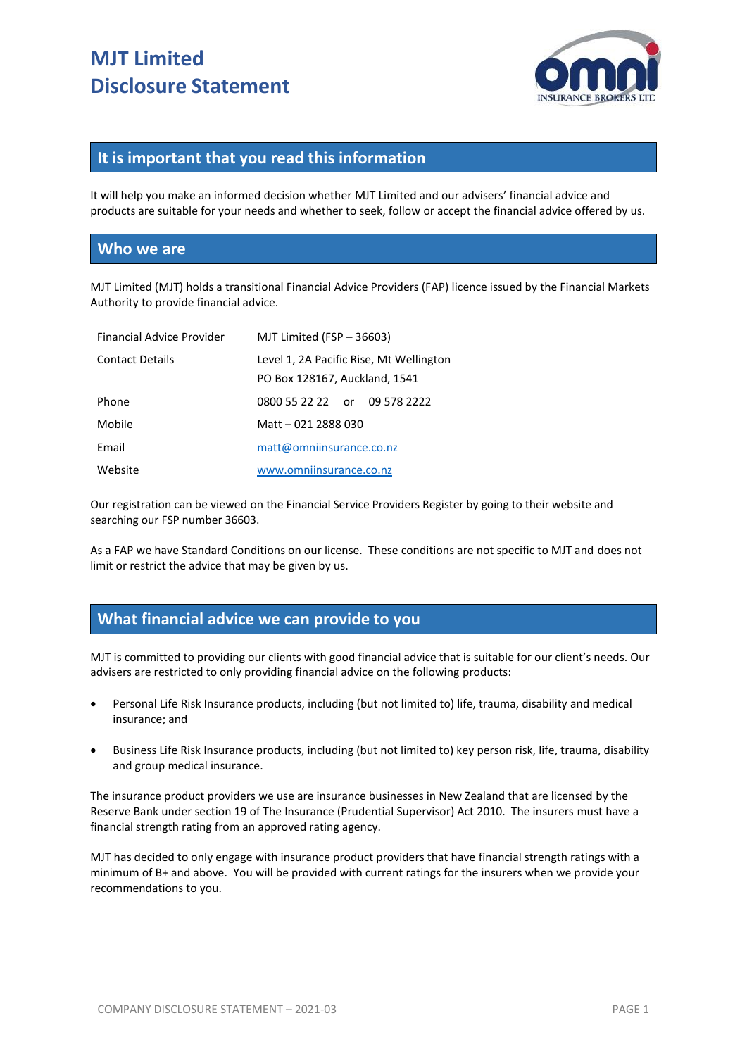# **MJT Limited Disclosure Statement**



## **It is important that you read this information**

It will help you make an informed decision whether MJT Limited and our advisers' financial advice and products are suitable for your needs and whether to seek, follow or accept the financial advice offered by us.

#### **Who we are**

MJT Limited (MJT) holds a transitional Financial Advice Providers (FAP) licence issued by the Financial Markets Authority to provide financial advice.

| Financial Advice Provider | MJT Limited (FSP $-$ 36603)                                              |
|---------------------------|--------------------------------------------------------------------------|
| <b>Contact Details</b>    | Level 1, 2A Pacific Rise, Mt Wellington<br>PO Box 128167, Auckland, 1541 |
| Phone                     | 0800 55 22 22 or 09 578 2222                                             |
| Mobile                    | Matt - 021 2888 030                                                      |
| Email                     | matt@omniinsurance.co.nz                                                 |
| Website                   | www.omniinsurance.co.nz                                                  |

Our registration can be viewed on the Financial Service Providers Register by going to their website and searching our FSP number 36603.

As a FAP we have Standard Conditions on our license. These conditions are not specific to MJT and does not limit or restrict the advice that may be given by us.

## **What financial advice we can provide to you**

MJT is committed to providing our clients with good financial advice that is suitable for our client's needs. Our advisers are restricted to only providing financial advice on the following products:

- Personal Life Risk Insurance products, including (but not limited to) life, trauma, disability and medical insurance; and
- Business Life Risk Insurance products, including (but not limited to) key person risk, life, trauma, disability and group medical insurance.

The insurance product providers we use are insurance businesses in New Zealand that are licensed by the Reserve Bank under section 19 of The Insurance (Prudential Supervisor) Act 2010. The insurers must have a financial strength rating from an approved rating agency.

MJT has decided to only engage with insurance product providers that have financial strength ratings with a minimum of B+ and above. You will be provided with current ratings for the insurers when we provide your recommendations to you.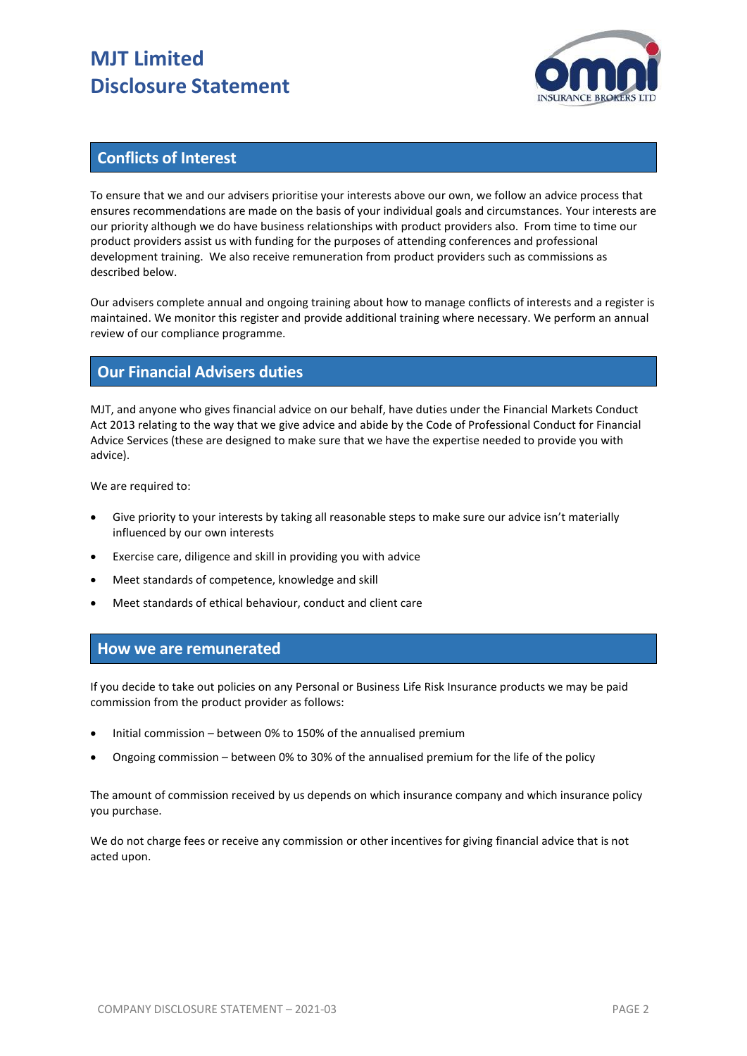# **MJT Limited Disclosure Statement**



## **Conflicts of Interest**

To ensure that we and our advisers prioritise your interests above our own, we follow an advice process that ensures recommendations are made on the basis of your individual goals and circumstances. Your interests are our priority although we do have business relationships with product providers also. From time to time our product providers assist us with funding for the purposes of attending conferences and professional development training. We also receive remuneration from product providers such as commissions as described below.

Our advisers complete annual and ongoing training about how to manage conflicts of interests and a register is maintained. We monitor this register and provide additional training where necessary. We perform an annual review of our compliance programme.

### **Our Financial Advisers duties**

MJT, and anyone who gives financial advice on our behalf, have duties under the Financial Markets Conduct Act 2013 relating to the way that we give advice and abide by the Code of Professional Conduct for Financial Advice Services (these are designed to make sure that we have the expertise needed to provide you with advice).

We are required to:

- Give priority to your interests by taking all reasonable steps to make sure our advice isn't materially influenced by our own interests
- Exercise care, diligence and skill in providing you with advice
- Meet standards of competence, knowledge and skill
- Meet standards of ethical behaviour, conduct and client care

### **How we are remunerated**

If you decide to take out policies on any Personal or Business Life Risk Insurance products we may be paid commission from the product provider as follows:

- Initial commission between 0% to 150% of the annualised premium
- Ongoing commission between 0% to 30% of the annualised premium for the life of the policy

The amount of commission received by us depends on which insurance company and which insurance policy you purchase.

We do not charge fees or receive any commission or other incentives for giving financial advice that is not acted upon.